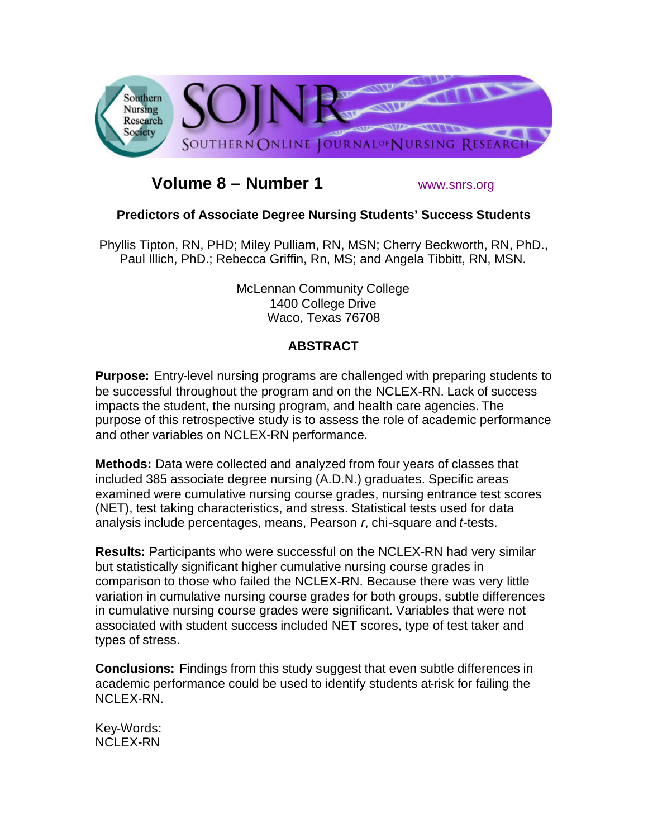

# **Volume 8 – Number 1** www.snrs.org

## **Predictors of Associate Degree Nursing Students' Success Students**

Phyllis Tipton, RN, PHD; Miley Pulliam, RN, MSN; Cherry Beckworth, RN, PhD., Paul Illich, PhD.; Rebecca Griffin, Rn, MS; and Angela Tibbitt, RN, MSN.

> McLennan Community College 1400 College Drive Waco, Texas 76708

## **ABSTRACT**

**Purpose:** Entry-level nursing programs are challenged with preparing students to be successful throughout the program and on the NCLEX-RN. Lack of success impacts the student, the nursing program, and health care agencies. The purpose of this retrospective study is to assess the role of academic performance and other variables on NCLEX-RN performance.

**Methods:** Data were collected and analyzed from four years of classes that included 385 associate degree nursing (A.D.N.) graduates. Specific areas examined were cumulative nursing course grades, nursing entrance test scores (NET), test taking characteristics, and stress. Statistical tests used for data analysis include percentages, means, Pearson *r*, chi-square and *t*-tests.

**Results:** Participants who were successful on the NCLEX-RN had very similar but statistically significant higher cumulative nursing course grades in comparison to those who failed the NCLEX-RN. Because there was very little variation in cumulative nursing course grades for both groups, subtle differences in cumulative nursing course grades were significant. Variables that were not associated with student success included NET scores, type of test taker and types of stress.

**Conclusions:** Findings from this study suggest that even subtle differences in academic performance could be used to identify students at-risk for failing the NCLEX-RN.

Key-Words: NCLEX-RN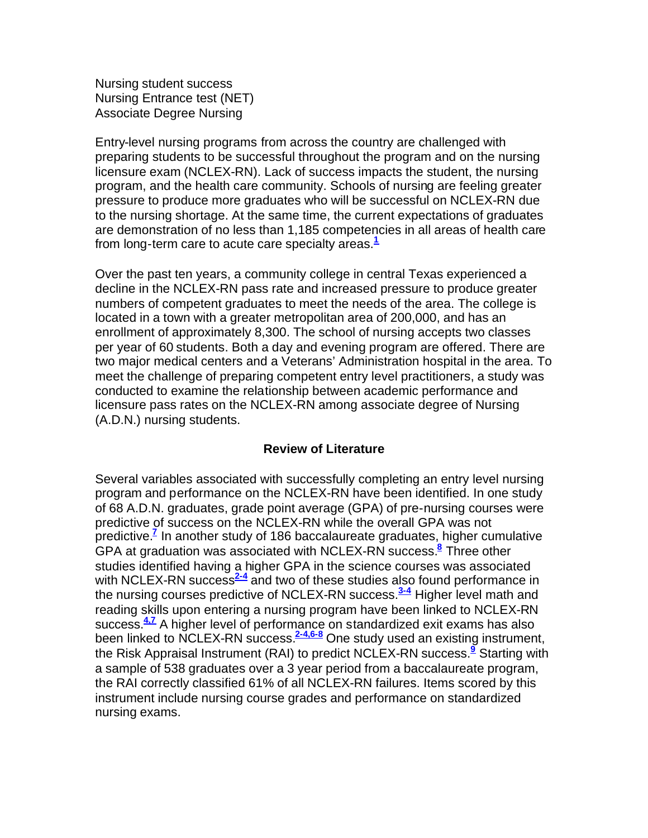Nursing student success Nursing Entrance test (NET) Associate Degree Nursing

Entry-level nursing programs from across the country are challenged with preparing students to be successful throughout the program and on the nursing licensure exam (NCLEX-RN). Lack of success impacts the student, the nursing program, and the health care community. Schools of nursing are feeling greater pressure to produce more graduates who will be successful on NCLEX-RN due to the nursing shortage. At the same time, the current expectations of graduates are demonstration of no less than 1,185 competencies in all areas of health care from long-term care to acute care specialty areas.**<sup>1</sup>**

Over the past ten years, a community college in central Texas experienced a decline in the NCLEX-RN pass rate and increased pressure to produce greater numbers of competent graduates to meet the needs of the area. The college is located in a town with a greater metropolitan area of 200,000, and has an enrollment of approximately 8,300. The school of nursing accepts two classes per year of 60 students. Both a day and evening program are offered. There are two major medical centers and a Veterans' Administration hospital in the area. To meet the challenge of preparing competent entry level practitioners, a study was conducted to examine the relationship between academic performance and licensure pass rates on the NCLEX-RN among associate degree of Nursing (A.D.N.) nursing students.

### **Review of Literature**

Several variables associated with successfully completing an entry level nursing program and performance on the NCLEX-RN have been identified. In one study of 68 A.D.N. graduates, grade point average (GPA) of pre-nursing courses were predictive of success on the NCLEX-RN while the overall GPA was not predictive.**<sup>7</sup>** In another study of 186 baccalaureate graduates, higher cumulative GPA at graduation was associated with NCLEX-RN success.**<sup>8</sup>** Three other studies identified having a higher GPA in the science courses was associated with NCLEX-RN success<sup>2-4</sup> and two of these studies also found performance in the nursing courses predictive of NCLEX-RN success.**3-4** Higher level math and reading skills upon entering a nursing program have been linked to NCLEX-RN success.**4,7** A higher level of performance on standardized exit exams has also been linked to NCLEX-RN success.**2-4,6-8** One study used an existing instrument, the Risk Appraisal Instrument (RAI) to predict NCLEX-RN success.**<sup>9</sup>** Starting with a sample of 538 graduates over a 3 year period from a baccalaureate program, the RAI correctly classified 61% of all NCLEX-RN failures. Items scored by this instrument include nursing course grades and performance on standardized nursing exams.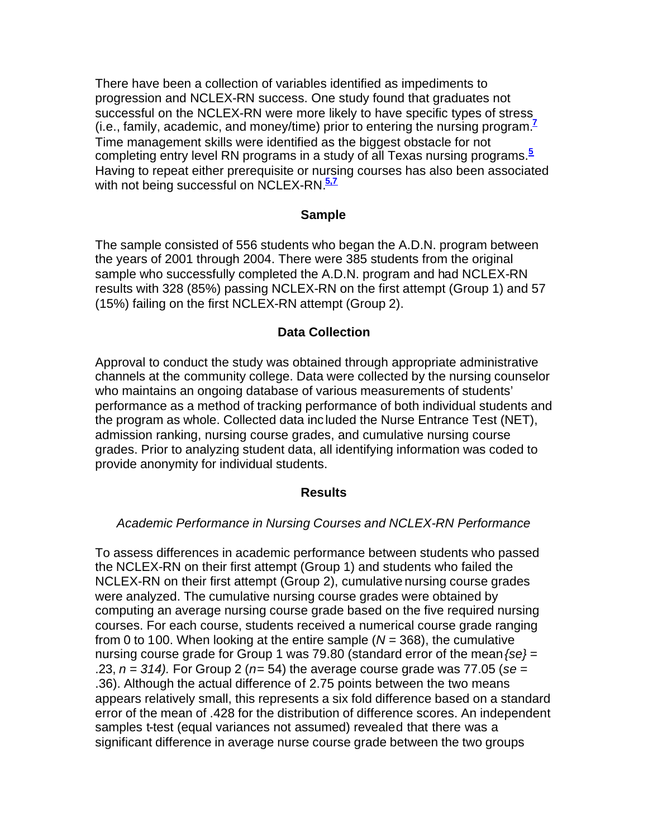There have been a collection of variables identified as impediments to progression and NCLEX-RN success. One study found that graduates not successful on the NCLEX-RN were more likely to have specific types of stress (i.e., family, academic, and money/time) prior to entering the nursing program.**<sup>7</sup>** Time management skills were identified as the biggest obstacle for not completing entry level RN programs in a study of all Texas nursing programs.**<sup>5</sup>** Having to repeat either prerequisite or nursing courses has also been associated with not being successful on NCLEX-RN.**5,7**

#### **Sample**

The sample consisted of 556 students who began the A.D.N. program between the years of 2001 through 2004. There were 385 students from the original sample who successfully completed the A.D.N. program and had NCLEX-RN results with 328 (85%) passing NCLEX-RN on the first attempt (Group 1) and 57 (15%) failing on the first NCLEX-RN attempt (Group 2).

#### **Data Collection**

Approval to conduct the study was obtained through appropriate administrative channels at the community college. Data were collected by the nursing counselor who maintains an ongoing database of various measurements of students' performance as a method of tracking performance of both individual students and the program as whole. Collected data included the Nurse Entrance Test (NET), admission ranking, nursing course grades, and cumulative nursing course grades. Prior to analyzing student data, all identifying information was coded to provide anonymity for individual students.

#### **Results**

#### *Academic Performance in Nursing Courses and NCLEX-RN Performance*

To assess differences in academic performance between students who passed the NCLEX-RN on their first attempt (Group 1) and students who failed the NCLEX-RN on their first attempt (Group 2), cumulative nursing course grades were analyzed. The cumulative nursing course grades were obtained by computing an average nursing course grade based on the five required nursing courses. For each course, students received a numerical course grade ranging from 0 to 100. When looking at the entire sample (*N* = 368), the cumulative nursing course grade for Group 1 was 79.80 (standard error of the mean*{se}* = .23, *n = 314).* For Group 2 (*n*= 54) the average course grade was 77.05 (*se =*  .36). Although the actual difference of 2.75 points between the two means appears relatively small, this represents a six fold difference based on a standard error of the mean of .428 for the distribution of difference scores. An independent samples t-test (equal variances not assumed) revealed that there was a significant difference in average nurse course grade between the two groups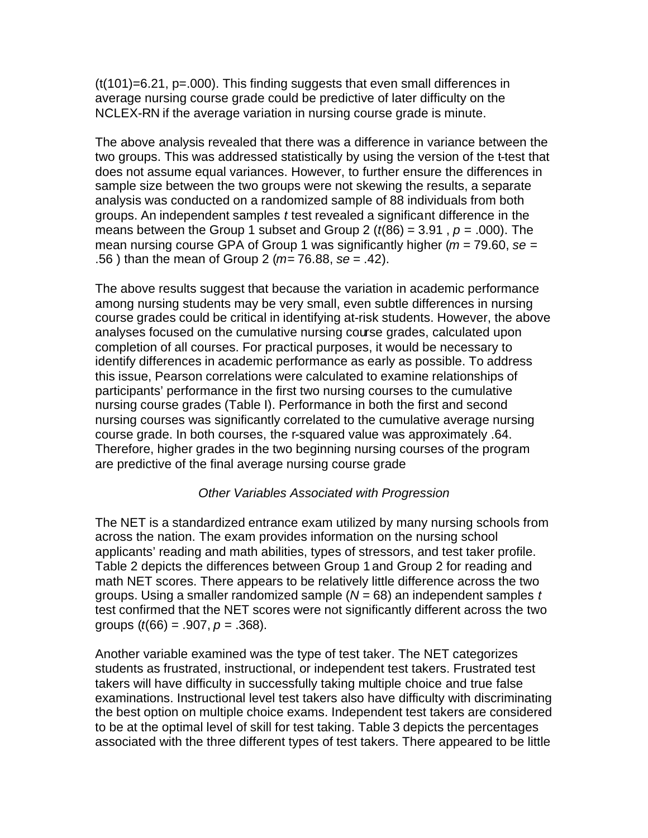$(t(101)=6.21$ ,  $p=.000$ . This finding suggests that even small differences in average nursing course grade could be predictive of later difficulty on the NCLEX-RN if the average variation in nursing course grade is minute.

The above analysis revealed that there was a difference in variance between the two groups. This was addressed statistically by using the version of the t-test that does not assume equal variances. However, to further ensure the differences in sample size between the two groups were not skewing the results, a separate analysis was conducted on a randomized sample of 88 individuals from both groups. An independent samples *t* test revealed a significant difference in the means between the Group 1 subset and Group 2 ( $t(86) = 3.91$ ,  $p = .000$ ). The mean nursing course GPA of Group 1 was significantly higher (*m =* 79.60, *se* = .56 ) than the mean of Group 2 (*m=* 76.88, *se* = .42).

The above results suggest that because the variation in academic performance among nursing students may be very small, even subtle differences in nursing course grades could be critical in identifying at-risk students. However, the above analyses focused on the cumulative nursing course grades, calculated upon completion of all courses. For practical purposes, it would be necessary to identify differences in academic performance as early as possible. To address this issue, Pearson correlations were calculated to examine relationships of participants' performance in the first two nursing courses to the cumulative nursing course grades (Table I). Performance in both the first and second nursing courses was significantly correlated to the cumulative average nursing course grade. In both courses, the r-squared value was approximately .64. Therefore, higher grades in the two beginning nursing courses of the program are predictive of the final average nursing course grade

### *Other Variables Associated with Progression*

The NET is a standardized entrance exam utilized by many nursing schools from across the nation. The exam provides information on the nursing school applicants' reading and math abilities, types of stressors, and test taker profile. Table 2 depicts the differences between Group 1 and Group 2 for reading and math NET scores. There appears to be relatively little difference across the two groups. Using a smaller randomized sample (*N* = 68) an independent samples *t* test confirmed that the NET scores were not significantly different across the two groups (*t*(66) = .907, *p* = .368).

Another variable examined was the type of test taker. The NET categorizes students as frustrated, instructional, or independent test takers. Frustrated test takers will have difficulty in successfully taking multiple choice and true false examinations. Instructional level test takers also have difficulty with discriminating the best option on multiple choice exams. Independent test takers are considered to be at the optimal level of skill for test taking. Table 3 depicts the percentages associated with the three different types of test takers. There appeared to be little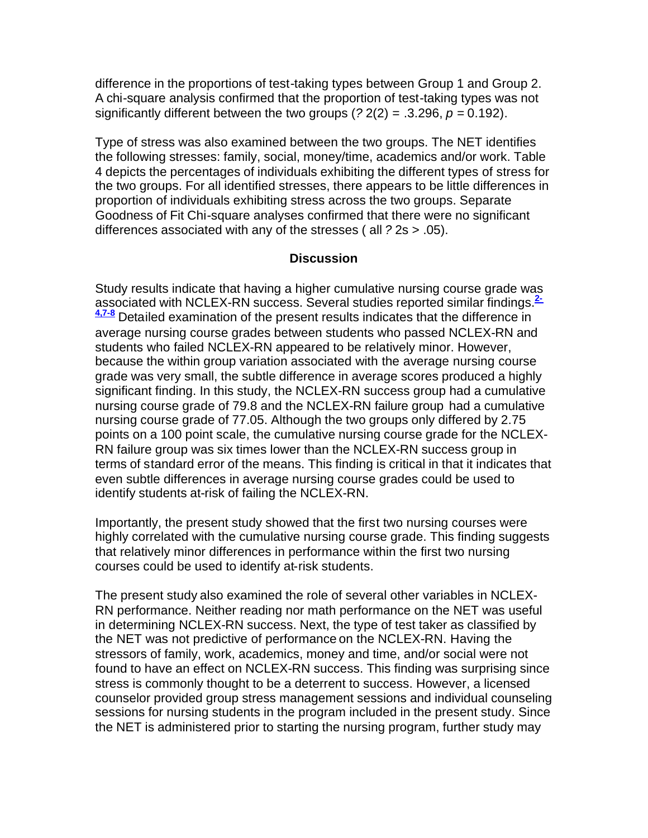difference in the proportions of test-taking types between Group 1 and Group 2. A chi-square analysis confirmed that the proportion of test-taking types was not significantly different between the two groups  $(22(2) = .3.296, p = 0.192)$ .

Type of stress was also examined between the two groups. The NET identifies the following stresses: family, social, money/time, academics and/or work. Table 4 depicts the percentages of individuals exhibiting the different types of stress for the two groups. For all identified stresses, there appears to be little differences in proportion of individuals exhibiting stress across the two groups. Separate Goodness of Fit Chi-square analyses confirmed that there were no significant differences associated with any of the stresses ( all *?* 2s > .05).

#### **Discussion**

Study results indicate that having a higher cumulative nursing course grade was associated with NCLEX-RN success. Several studies reported similar findings.**2- 4,7-8** Detailed examination of the present results indicates that the difference in average nursing course grades between students who passed NCLEX-RN and students who failed NCLEX-RN appeared to be relatively minor. However, because the within group variation associated with the average nursing course grade was very small, the subtle difference in average scores produced a highly significant finding. In this study, the NCLEX-RN success group had a cumulative nursing course grade of 79.8 and the NCLEX-RN failure group had a cumulative nursing course grade of 77.05. Although the two groups only differed by 2.75 points on a 100 point scale, the cumulative nursing course grade for the NCLEX-RN failure group was six times lower than the NCLEX-RN success group in terms of standard error of the means. This finding is critical in that it indicates that even subtle differences in average nursing course grades could be used to identify students at-risk of failing the NCLEX-RN.

Importantly, the present study showed that the first two nursing courses were highly correlated with the cumulative nursing course grade. This finding suggests that relatively minor differences in performance within the first two nursing courses could be used to identify at-risk students.

The present study also examined the role of several other variables in NCLEX-RN performance. Neither reading nor math performance on the NET was useful in determining NCLEX-RN success. Next, the type of test taker as classified by the NET was not predictive of performance on the NCLEX-RN. Having the stressors of family, work, academics, money and time, and/or social were not found to have an effect on NCLEX-RN success. This finding was surprising since stress is commonly thought to be a deterrent to success. However, a licensed counselor provided group stress management sessions and individual counseling sessions for nursing students in the program included in the present study. Since the NET is administered prior to starting the nursing program, further study may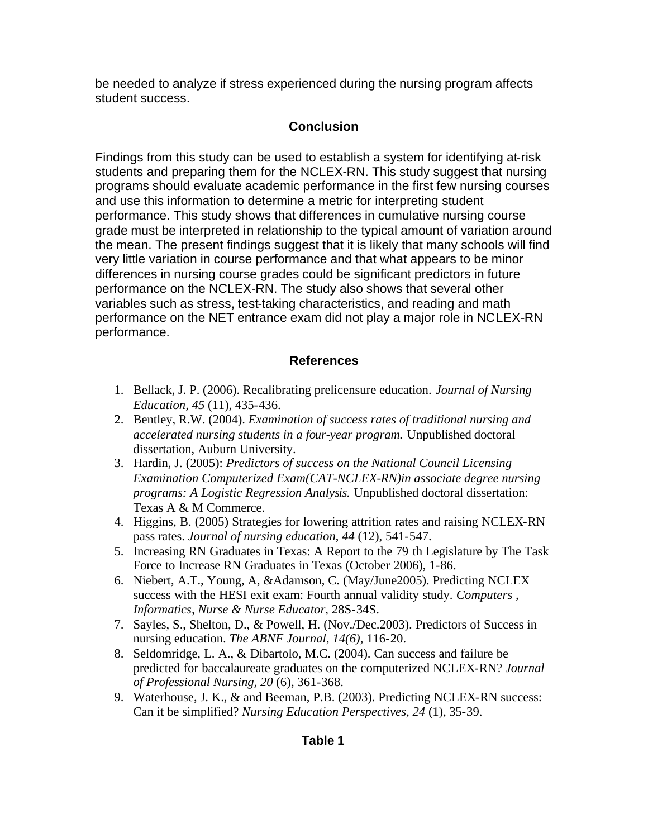be needed to analyze if stress experienced during the nursing program affects student success.

## **Conclusion**

Findings from this study can be used to establish a system for identifying at-risk students and preparing them for the NCLEX-RN. This study suggest that nursing programs should evaluate academic performance in the first few nursing courses and use this information to determine a metric for interpreting student performance. This study shows that differences in cumulative nursing course grade must be interpreted in relationship to the typical amount of variation around the mean. The present findings suggest that it is likely that many schools will find very little variation in course performance and that what appears to be minor differences in nursing course grades could be significant predictors in future performance on the NCLEX-RN. The study also shows that several other variables such as stress, test-taking characteristics, and reading and math performance on the NET entrance exam did not play a major role in NCLEX-RN performance.

## **References**

- 1. Bellack, J. P. (2006). Recalibrating prelicensure education. *Journal of Nursing Education, 45* (11), 435-436.
- 2. Bentley, R.W. (2004). *Examination of success rates of traditional nursing and accelerated nursing students in a four-year program.* Unpublished doctoral dissertation, Auburn University.
- 3. Hardin, J. (2005): *Predictors of success on the National Council Licensing Examination Computerized Exam(CAT-NCLEX-RN)in associate degree nursing programs: A Logistic Regression Analysis.* Unpublished doctoral dissertation: Texas A & M Commerce.
- 4. Higgins, B. (2005) Strategies for lowering attrition rates and raising NCLEX-RN pass rates. *Journal of nursing education*, *44* (12), 541-547.
- 5. Increasing RN Graduates in Texas: A Report to the 79 th Legislature by The Task Force to Increase RN Graduates in Texas (October 2006), 1-86.
- 6. Niebert, A.T., Young, A, &Adamson, C. (May/June2005). Predicting NCLEX success with the HESI exit exam: Fourth annual validity study. *Computers , Informatics, Nurse & Nurse Educator,* 28S-34S.
- 7. Sayles, S., Shelton, D., & Powell, H. (Nov./Dec.2003). Predictors of Success in nursing education. *The ABNF Journal, 14(6),* 116-20.
- 8. Seldomridge, L. A., & Dibartolo, M.C. (2004). Can success and failure be predicted for baccalaureate graduates on the computerized NCLEX-RN? *Journal of Professional Nursing, 20* (6), 361-368.
- 9. Waterhouse, J. K., & and Beeman, P.B. (2003). Predicting NCLEX-RN success: Can it be simplified? *Nursing Education Perspectives, 24* (1), 35-39.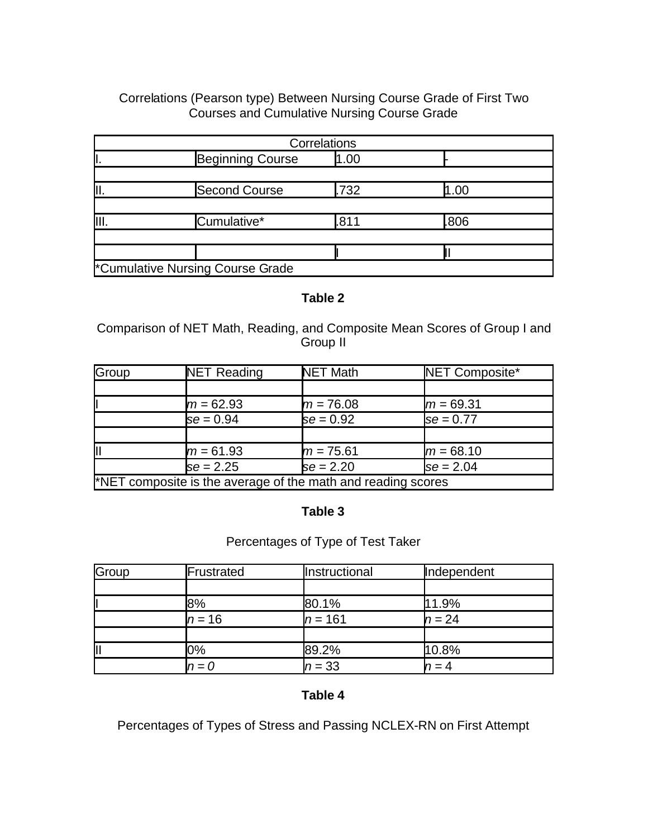## Correlations (Pearson type) Between Nursing Course Grade of First Two Courses and Cumulative Nursing Course Grade

|                                  | Correlations |      |  |
|----------------------------------|--------------|------|--|
| <b>Beginning Course</b>          | 0.00         |      |  |
|                                  |              |      |  |
| <b>Second Course</b>             | .732         | 1.00 |  |
|                                  |              |      |  |
| Cumulative*                      | .811         | .806 |  |
|                                  |              |      |  |
|                                  |              |      |  |
| *Cumulative Nursing Course Grade |              |      |  |

#### **Table 2**

Comparison of NET Math, Reading, and Composite Mean Scores of Group I and Group II

| Group | <b>NET Reading</b>                                           | <b>NET Math</b> | NET Composite* |
|-------|--------------------------------------------------------------|-----------------|----------------|
|       |                                                              |                 |                |
|       | $m = 62.93$                                                  | $m = 76.08$     | $m = 69.31$    |
|       | $se = 0.94$                                                  | $se = 0.92$     | $se = 0.77$    |
|       |                                                              |                 |                |
| lıı   | $m = 61.93$                                                  | $m = 75.61$     | $m = 68.10$    |
|       | $se = 2.25$                                                  | $se = 2.20$     | $se = 2.04$    |
|       | *NET composite is the average of the math and reading scores |                 |                |

## **Table 3**

## Percentages of Type of Test Taker

| Group | Frustrated | Instructional | Independent |  |  |
|-------|------------|---------------|-------------|--|--|
|       |            |               |             |  |  |
|       | 8%         | 80.1%         | 11.9%       |  |  |
|       | $n = 16$   | $n = 161$     | $n = 24$    |  |  |
|       |            |               |             |  |  |
| ║     | 0%         | 89.2%         | 10.8%       |  |  |
|       | $n\!=\!0$  | $n = 33$      |             |  |  |

## **Table 4**

Percentages of Types of Stress and Passing NCLEX-RN on First Attempt